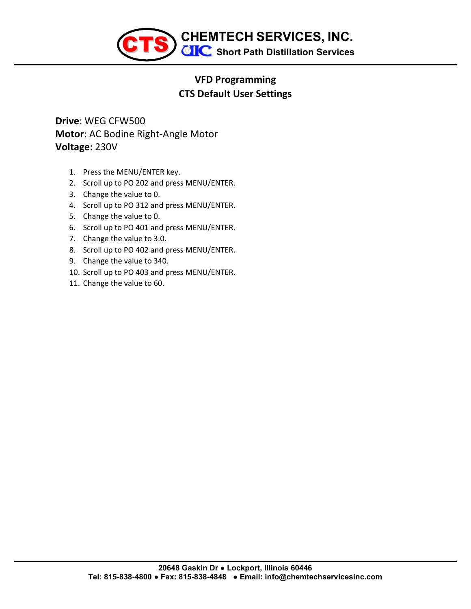

## **VFD Programming CTS Default User Settings**

**Drive**: WEG CFW500 **Motor**: AC Bodine Right-Angle Motor **Voltage**: 230V

- 1. Press the MENU/ENTER key.
- 2. Scroll up to PO 202 and press MENU/ENTER.
- 3. Change the value to 0.
- 4. Scroll up to PO 312 and press MENU/ENTER.
- 5. Change the value to 0.
- 6. Scroll up to PO 401 and press MENU/ENTER.
- 7. Change the value to 3.0.
- 8. Scroll up to PO 402 and press MENU/ENTER.
- 9. Change the value to 340.
- 10. Scroll up to PO 403 and press MENU/ENTER.
- 11. Change the value to 60.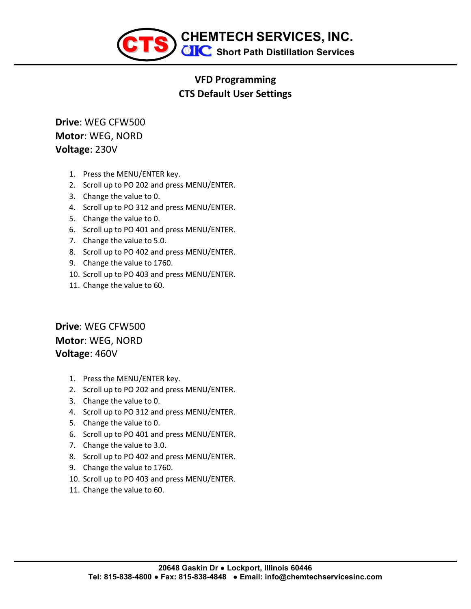

## **VFD Programming CTS Default User Settings**

**Drive**: WEG CFW500 **Motor**: WEG, NORD **Voltage**: 230V

- 1. Press the MENU/ENTER key.
- 2. Scroll up to PO 202 and press MENU/ENTER.
- 3. Change the value to 0.
- 4. Scroll up to PO 312 and press MENU/ENTER.
- 5. Change the value to 0.
- 6. Scroll up to PO 401 and press MENU/ENTER.
- 7. Change the value to 5.0.
- 8. Scroll up to PO 402 and press MENU/ENTER.
- 9. Change the value to 1760.
- 10. Scroll up to PO 403 and press MENU/ENTER.
- 11. Change the value to 60.

**Drive**: WEG CFW500 **Motor**: WEG, NORD **Voltage**: 460V

- 1. Press the MENU/ENTER key.
- 2. Scroll up to PO 202 and press MENU/ENTER.
- 3. Change the value to 0.
- 4. Scroll up to PO 312 and press MENU/ENTER.
- 5. Change the value to 0.
- 6. Scroll up to PO 401 and press MENU/ENTER.
- 7. Change the value to 3.0.
- 8. Scroll up to PO 402 and press MENU/ENTER.
- 9. Change the value to 1760.
- 10. Scroll up to PO 403 and press MENU/ENTER.
- 11. Change the value to 60.